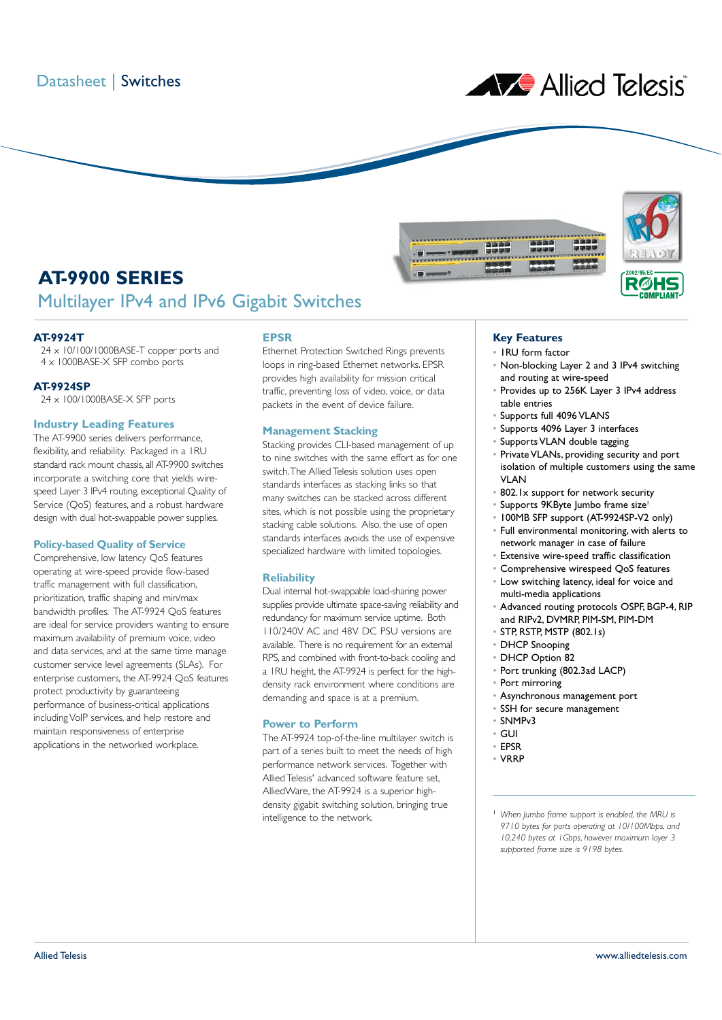

# **AT-9900 SERIES** Multilayer IPv4 and IPv6 Gigabit Switches

## **AT-9924T**

24 x 10/100/1000BASE-T copper ports and 4 x 1000BASE-X SFP combo ports

### **AT-9924SP**

24 x 100/1000BASE-X SFP ports

## **Industry Leading Features**

The AT-9900 series delivers performance, flexibility, and reliability. Packaged in a 1RU standard rack mount chassis, all AT-9900 switches incorporate a switching core that yields wirespeed Layer 3 IPv4 routing, exceptional Quality of Service (QoS) features, and a robust hardware design with dual hot-swappable power supplies.

## **Policy-based Quality of Service**

Comprehensive, low latency QoS features operating at wire-speed provide flow-based traffic management with full classification, prioritization, traffic shaping and min/max bandwidth profiles. The AT-9924 QoS features are ideal for service providers wanting to ensure maximum availability of premium voice, video and data services, and at the same time manage customer service level agreements (SLAs). For enterprise customers, the AT-9924 QoS features protect productivity by guaranteeing performance of business-critical applications including VoIP services, and help restore and maintain responsiveness of enterprise applications in the networked workplace.

## **EPSR**

Ethernet Protection Switched Rings prevents loops in ring-based Ethernet networks. EPSR provides high availability for mission critical traffic, preventing loss of video, voice, or data packets in the event of device failure.

## **Management Stacking**

Stacking provides CLI-based management of up to nine switches with the same effort as for one switch.The Allied Telesis solution uses open standards interfaces as stacking links so that many switches can be stacked across different sites, which is not possible using the proprietary stacking cable solutions. Also, the use of open standards interfaces avoids the use of expensive specialized hardware with limited topologies.

## **Reliability**

Dual internal hot-swappable load-sharing power supplies provide ultimate space-saving reliability and redundancy for maximum service uptime. Both 110/240V AC and 48V DC PSU versions are available. There is no requirement for an external RPS, and combined with front-to-back cooling and a 1RU height, the AT-9924 is perfect for the highdensity rack environment where conditions are demanding and space is at a premium.

### **Power to Perform**

The AT-9924 top-of-the-line multilayer switch is part of a series built to meet the needs of high performance network services. Together with Allied Telesis' advanced software feature set, AlliedWare, the AT-9924 is a superior highdensity gigabit switching solution, bringing true intelligence to the network.

# **Key Features**

• 1RU form factor

**ATT** 

- Non-blocking Layer 2 and 3 IPv4 switching and routing at wire-speed
- Provides up to 256K Layer 3 IPv4 address table entries
- Supports full 4096 VLANS
- Supports 4096 Layer 3 interfaces
- Supports VLAN double tagging
- Private VLANs, providing security and port isolation of multiple customers using the same **VI AN**
- 802.1x support for network security
- Supports 9KByte Jumbo frame size<sup>1</sup>
- 100MB SFP support (AT-9924SP-V2 only)
- Full environmental monitoring, with alerts to network manager in case of failure
- Extensive wire-speed traffic classification
- Comprehensive wirespeed QoS features
- Low switching latency, ideal for voice and multi-media applications
- Advanced routing protocols OSPF, BGP-4, RIP and RIPv2, DVMRP, PIM-SM, PIM-DM
- STP, RSTP, MSTP (802.1s)
- DHCP Snooping
- DHCP Option 82
- Port trunking (802.3ad LACP)
- Port mirroring
- Asynchronous management port
- SSH for secure management
- SNMPv3
- GUI
- EPSR
- VRRP
- <sup>1</sup> *When Jumbo frame support is enabled, the MRU is 9710 bytes for ports operating at 10/100Mbps, and 10,240 bytes at 1Gbps, however maximum layer 3 supported frame size is 9198 bytes.*

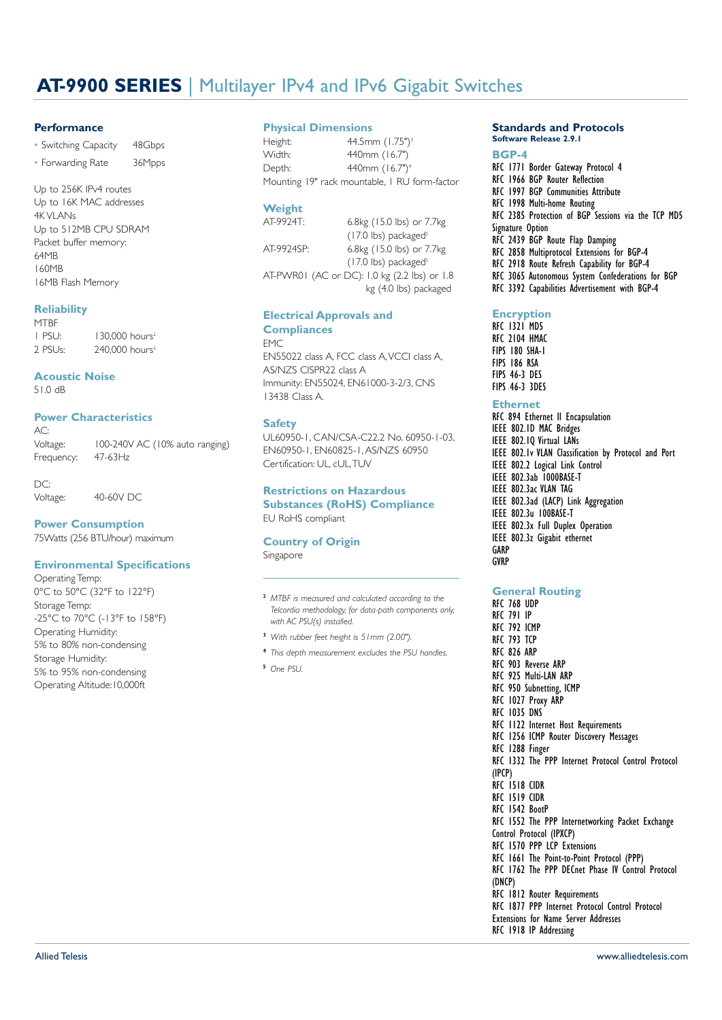# **AT-9900 SERIES** | Multilayer IPv4 and IPv6 Gigabit Switches

## **Performance**

• Switching Capacity 48Gbps • Forwarding Rate 36Mpps

Up to 256K IPv4 routes Up to 16K MAC addresses 4K VI ANs Up to 512MB CPU SDRAM Packet buffer memory: 64MB 160MB 16MB Flash Memory

## **Reliability**

**MTRF** 1 PSU: 130,000 hours<sup>2</sup> 2 PSUs: 240,000 hours<sup>2</sup>

## **Acoustic Noise**

51.0 dB

# **Power Characteristics**

 $AC$ Voltage: 100-240V AC (10% auto ranging)<br>Frequency: 47-63Hz Frequency:

 $DC$ 

Voltage: 40-60V DC

**Power Consumption**

# 75Watts (256 BTU/hour) maximum

## **Environmental Specifications**

Operating Temp: 0°C to 50°C (32°F to 122°F) Storage Temp: -25°C to 70°C (-13°F to 158°F) Operating Humidity: 5% to 80% non-condensing Storage Humidity: 5% to 95% non-condensing Operating Altitude:10,000ft

## **Physical Dimensions**

Height: 44.5mm (1.75")<sup>3</sup><br>Width: 440mm (16.7") 440mm (16.7") Depth: 440mm (16.7")4 Mounting 19" rack mountable, 1 RU form-factor

# Weight<br>AT-9924T:

6.8kg (15.0 lbs) or 7.7kg  $(17.0$  lbs) packaged<sup>5</sup> AT-9924SP: 6.8kg (15.0 lbs) or 7.7kg  $(17.0$  lbs) packaged<sup>5</sup> AT-PWR01 (AC or DC): 1.0 kg (2.2 lbs) or 1.8 kg (4.0 lbs) packaged

## **Electrical Approvals and Compliances**

#### **FMC**

EN55022 class A, FCC class A,VCCI class A, AS/NZS CISPR22 class A Immunity: EN55024, EN61000-3-2/3, CNS 13438 Class A.

## **Safety**

UL60950-1, CAN/CSA-C22.2 No. 60950-1-03, EN60950-1, EN60825-1, AS/NZS 60950 Certification: UL, cUL,TUV

## **Restrictions on Hazardous Substances (RoHS) Compliance** EU RoHS compliant

# **Country of Origin**

Singapore

#### <sup>2</sup> *MTBF is measured and calculated according to the Telcordia methodology, for data-path components only, with AC PSU(s) installed.*

- <sup>3</sup> *With rubber feet height is 51mm (2.00").*
- <sup>4</sup> *This depth measurement excludes the PSU handles.*
- <sup>5</sup> *One PSU.*

## **Standards and Protocols Software Release 2.9.1**

### **BGP-4** RFC 1771 Border Gateway Protocol 4 RFC 1966 BGP Router Reflection RFC 1997 BGP Communities Attribute RFC 1998 Multi-home Routing RFC 2385 Protection of BGP Sessions via the TCP MD5 Signature Option RFC 2439 BGP Route Flap Damping RFC 2858 Multiprotocol Extensions for BGP-4 RFC 2918 Route Refresh Capability for BGP-4 RFC 3065 Autonomous System Confederations for BGP RFC 3392 Capabilities Advertisement with BGP-4

## **Encryption**

RFC 1321 MD5 RFC 2104 HMAC FIPS 180 SHA-1 FIPS 186 RSA FIPS 46-3 DES FIPS 46-3 3DES

## **Ethernet**

RFC 894 Ethernet II Encapsulation IEEE 802.1D MAC Bridges IEEE 802.1Q Virtual LANs IEEE 802.1v VLAN Classification by Protocol and Port IEEE 802.2 Logical Link Control IEEE 802.3ab 1000BASE-T IEEE 802.3ac VLAN TAG IEEE 802.3ad (LACP) Link Aggregation IEEE 802.3u 100BASE-T IEEE 802.3x Full Duplex Operation IEEE 802.3z Gigabit ethernet **GARP** GVRP

## **General Routing**

RFC 1918 IP Addressing

RFC 768 UDP RFC 791 IP RFC 792 ICMP RFC 793 TCP RFC 826 ARP RFC 903 Reverse ARP RFC 925 Multi-LAN ARP RFC 950 Subnetting, ICMP RFC 1027 Proxy ARP RFC 1035 DNS RFC 1122 Internet Host Requirements RFC 1256 ICMP Router Discovery Messages RFC 1288 Finger RFC 1332 The PPP Internet Protocol Control Protocol (IPCP) RFC 1518 CIDR RFC 1519 CIDR RFC 1542 BootP RFC 1552 The PPP Internetworking Packet Exchange Control Protocol (IPXCP) RFC 1570 PPP LCP Extensions RFC 1661 The Point-to-Point Protocol (PPP) RFC 1762 The PPP DECnet Phase IV Control Protocol (DNCP) RFC 1812 Router Requirements RFC 1877 PPP Internet Protocol Control Protocol Extensions for Name Server Addresses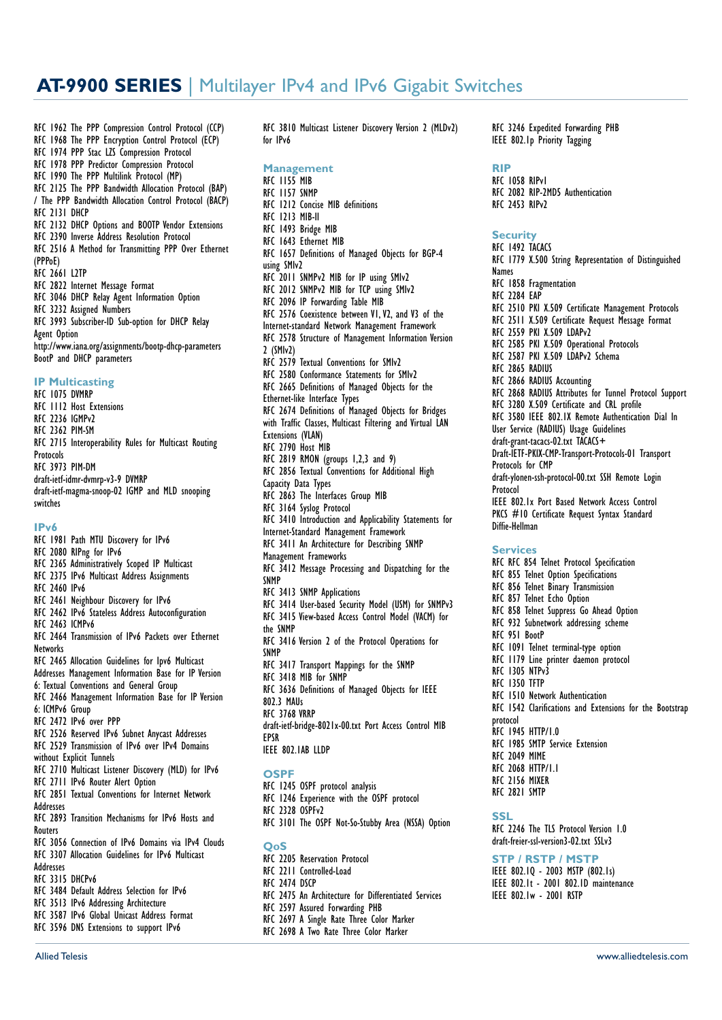# **AT-9900 SERIES** | Multilayer IPv4 and IPv6 Gigabit Switches

RFC 1962 The PPP Compression Control Protocol (CCP)

- RFC 1968 The PPP Encryption Control Protocol (ECP)
- RFC 1974 PPP Stac LZS Compression Protocol RFC 1978 PPP Predictor Compression Protocol
- RFC 1990 The PPP Multilink Protocol (MP)
- RFC 2125 The PPP Bandwidth Allocation Protocol (BAP)
- / The PPP Bandwidth Allocation Control Protocol (BACP) RFC 2131 DHCP
- 
- RFC 2132 DHCP Options and BOOTP Vendor Extensions RFC 2390 Inverse Address Resolution Protocol
- RFC 2516 A Method for Transmitting PPP Over Ethernet
- (PPPoE)
- RFC 2661 L2TP
- RFC 2822 Internet Message Format
- RFC 3046 DHCP Relay Agent Information Option
- 
- RFC 3232 Assigned Numbers RFC 3993 Subscriber-ID Sub-option for DHCP Relay Agent Option
- http://www.iana.org/assignments/bootp-dhcp-parameters BootP and DHCP parameters

#### **IP Multicasting**

RFC 1075 DVMRP RFC 1112 Host Extensions RFC 2236 IGMPv2 RFC 2362 PIM-SM RFC 2715 Interoperability Rules for Multicast Routing **Protocols** RFC 3973 PIM-DM draft-ietf-idmr-dvmrp-v3-9 DVMRP draft-ietf-magma-snoop-02 IGMP and MLD snooping switches

### **IPv6**

- RFC 1981 Path MTU Discovery for IPv6 RFC 2080 RIPng for IPv6
- RFC 2365 Administratively Scoped IP Multicast
- RFC 2375 IPv6 Multicast Address Assignments
- RFC 2460 IPv6
- RFC 2461 Neighbour Discovery for IPv6
- RFC 2462 IPv6 Stateless Address Autoconfiguration
- RFC 2463 ICMPv6
- RFC 2464 Transmission of IPv6 Packets over Ethernet **Networks**
- RFC 2465 Allocation Guidelines for Ipv6 Multicast
- Addresses Management Information Base for IP Version
- 6: Textual Conventions and General Group
- RFC 2466 Management Information Base for IP Version 6: ICMPv6 Group
- RFC 2472 IPv6 over PPP
- RFC 2526 Reserved IPv6 Subnet Anycast Addresses
- RFC 2529 Transmission of IPv6 over IPv4 Domains
- without Explicit Tunnels
- RFC 2710 Multicast Listener Discovery (MLD) for IPv6
- RFC 2711 IPv6 Router Alert Option
- RFC 2851 Textual Conventions for Internet Network
- **Addresses**
- RFC 2893 Transition Mechanisms for IPv6 Hosts and Routers
- RFC 3056 Connection of IPv6 Domains via IPv4 Clouds RFC 3307 Allocation Guidelines for IPv6 Multicast
- Addresses RFC 3315 DHCPv6
- RFC 3484 Default Address Selection for IPv6
- RFC 3513 IPv6 Addressing Architecture
- RFC 3587 IPv6 Global Unicast Address Format
- RFC 3596 DNS Extensions to support IPv6

RFC 3810 Multicast Listener Discovery Version 2 (MLDv2) for IPv6

- **Management** RFC 1155 MIB RFC 1157 SNMP RFC 1212 Concise MIB definitions RFC 1213 MIB-II RFC 1493 Bridge MIB RFC 1643 Ethernet MIB RFC 1657 Definitions of Managed Objects for BGP-4 using SMIv2 RFC 2011 SNMPv2 MIB for IP using SMIv2 RFC 2012 SNMPv2 MIB for TCP using SMIv2 RFC 2096 IP Forwarding Table MIB RFC 2576 Coexistence between V1,V2, and V3 of the Internet-standard Network Management Framework RFC 2578 Structure of Management Information Version 2 (SMIv2) RFC 2579 Textual Conventions for SMIv2 RFC 2580 Conformance Statements for SMIv2 RFC 2665 Definitions of Managed Objects for the Ethernet-like Interface Types RFC 2674 Definitions of Managed Objects for Bridges with Traffic Classes, Multicast Filtering and Virtual LAN Extensions (VLAN) RFC 2790 Host MIR RFC 2819 RMON (groups 1,2,3 and 9) RFC 2856 Textual Conventions for Additional High Capacity Data Types RFC 2863 The Interfaces Group MIB RFC 3164 Syslog Protocol RFC 3410 Introduction and Applicability Statements for Internet-Standard Management Framework RFC 3411 An Architecture for Describing SNMP Management Frameworks RFC 3412 Message Processing and Dispatching for the **SNMP** RFC 3413 SNMP Applications RFC 3414 User-based Security Model (USM) for SNMPv3 RFC 3415 View-based Access Control Model (VACM) for the SNMP RFC 3416 Version 2 of the Protocol Operations for SNMP RFC 3417 Transport Mappings for the SNMP RFC 3418 MIB for SNMP RFC 3636 Definitions of Managed Objects for IEEE 802.3 MAUs RFC 3768 VRRP draft-ietf-bridge-8021x-00.txt Port Access Control MIB EPSR IEEE 802.1AB LLDP **OSPF**
- RFC 1245 OSPF protocol analysis
- RFC 1246 Experience with the OSPF protocol
- RFC 2328 OSPFv2
- RFC 3101 The OSPF Not-So-Stubby Area (NSSA) Option
- **QoS**
- RFC 2205 Reservation Protocol
- RFC 2211 Controlled-Load
- RFC 2474 DSCP
- RFC 2475 An Architecture for Differentiated Services
- RFC 2597 Assured Forwarding PHB
- RFC 2697 A Single Rate Three Color Marker
- RFC 2698 A Two Rate Three Color Marker

RFC 3246 Expedited Forwarding PHB IEEE 802.1p Priority Tagging

## **RIP**

RFC 1058 RIPv1 RFC 2082 RIP-2MD5 Authentication RFC 2453 RIPv2

#### **Security**

RFC 1492 TACACS RFC 1779 X.500 String Representation of Distinguished Names RFC 1858 Fragmentation RFC 2284 EAP RFC 2510 PKI X.509 Certificate Management Protocols RFC 2511 X.509 Certificate Request Message Format RFC 2559 PKI X.509 LDAPv2 RFC 2585 PKI X.509 Operational Protocols RFC 2587 PKI X.509 LDAPv2 Schema RFC 2865 RADIUS RFC 2866 RADIUS Accounting RFC 2868 RADIUS Attributes for Tunnel Protocol Support RFC 3280 X.509 Certificate and CRL profile RFC 3580 IEEE 802.1X Remote Authentication Dial In User Service (RADIUS) Usage Guidelines draft-grant-tacacs-02.txt TACACS+ Draft-IETF-PKIX-CMP-Transport-Protocols-01 Transport Protocols for CMP draft-ylonen-ssh-protocol-00.txt SSH Remote Login Protocol IEEE 802.1x Port Based Network Access Control PKCS #10 Certificate Request Syntax Standard Diffie-Hellman **Services** RFC RFC 854 Telnet Protocol Specification RFC 855 Telnet Option Specifications RFC 856 Telnet Binary Transmission RFC 857 Telnet Echo Option RFC 858 Telnet Suppress Go Ahead Option RFC 932 Subnetwork addressing scheme RFC 951 BootP RFC 1091 Telnet terminal-type option RFC 1179 Line printer daemon protocol RFC 1305 NTPv3 RFC 1350 TFTP RFC 1510 Network Authentication RFC 1542 Clarifications and Extensions for the Bootstrap protocol .<br>RFC 1945 HTTP/1.0 RFC 1985 SMTP Service Extension RFC 2049 MIME RFC 2068 HTTP/1.1 RFC 2156 MIXER RFC 2821 SMTP **SSL**

RFC 2246 The TLS Protocol Version 1.0 draft-freier-ssl-version3-02.txt SSLv3

## **STP / RSTP / MSTP**

IEEE 802.1Q - 2003 MSTP (802.1s) IEEE 802.1t - 2001 802.1D maintenance IEEE 802.1w - 2001 RSTP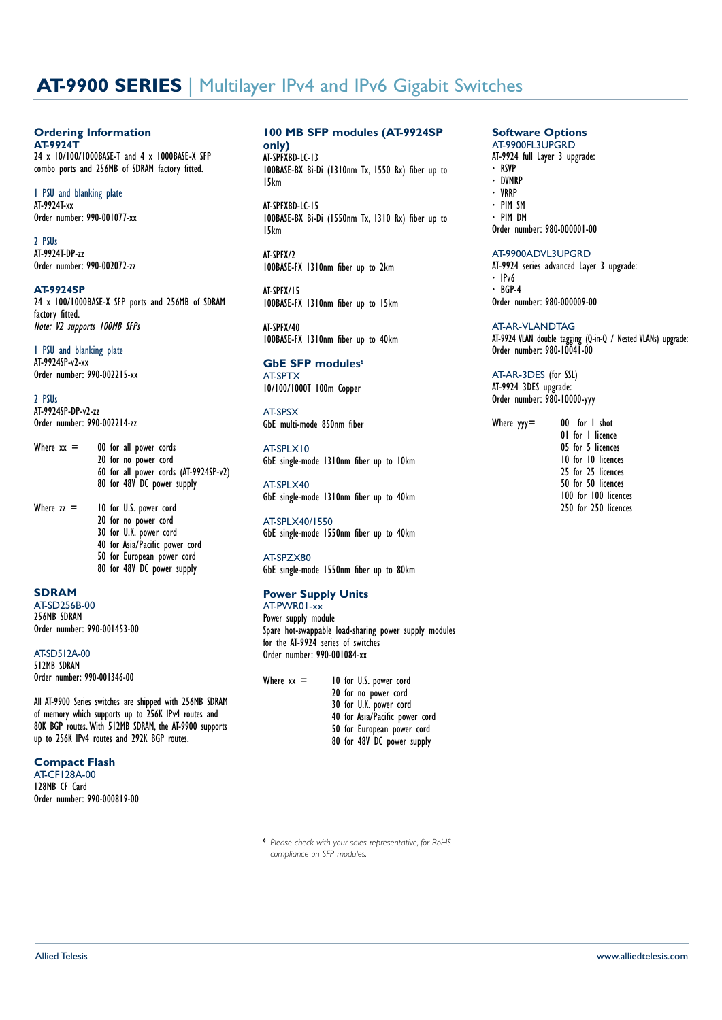# **AT-9900 SERIES** | Multilayer IPv4 and IPv6 Gigabit Switches

#### **Ordering Information AT-9924T**

24 x 10/100/1000BASE-T and 4 x 1000BASE-X SFP combo ports and 256MB of SDRAM factory fitted.

1 PSU and blanking plate AT-9924T-xx Order number: 990-001077-xx

2 PSUs AT-9924T-DP-zz Order number: 990-002072-zz

## **AT-9924SP**

24 x 100/1000BASE-X SFP ports and 256MB of SDRAM factory fitted. Note: V2 supports 100MB SFPs

# 1 PSU and blanking plate

AT-9924SP-v2-xx Order number: 990-002215-xx

2 PSUs AT-9924SP-DP-v2-zz Order number: 990-002214-zz

- Where  $xx = 00$  for all power cords 20 for no power cord 60 for all power cords (AT-9924SP-v2) 80 for 48V DC power supply
- Where  $zz =$  10 for U.S. power cord 20 for no power cord 30 for U.K. power cord 40 for Asia/Pacific power cord 50 for European power cord 80 for 48V DC power supply

## **SDRAM**

AT-SD256B-00 256MB SDRAM Order number: 990-001453-00

AT-SD512A-00 512MB SDRAM Order number: 990-001346-00

All AT-9900 Series switches are shipped with 256MB SDRAM of memory which supports up to 256K IPv4 routes and 80K BGP routes. With 512MB SDRAM, the AT-9900 supports up to 256K IPv4 routes and 292K BGP routes.

## **Compact Flash**

AT-CF128A-00 128MB CF Card Order number: 990-000819-00

## **100 MB SFP modules (AT-9924SP**

**only)** AT-SPFXBD-LC-13 100BASE-BX Bi-Di (1310nm Tx, 1550 Rx) fiber up to 15km

AT-SPFXBD-LC-15 100BASE-BX Bi-Di (1550nm Tx, 1310 Rx) fiber up to 15km

AT-SPFX/2 100BASE-FX 1310nm fiber up to 2km

AT-SPFX/15 100BASE-FX 1310nm fiber up to 15km

AT-SPFX/40 100BASE-FX 1310nm fiber up to 40km

**GbE SFP modules<sup>6</sup>** AT-SPTX 10/100/1000T 100m Copper

AT-SPSX GbE multi-mode 850nm fiber

AT-SPLX10 GbE single-mode 1310nm fiber up to 10km

AT-SPLX40 GbE single-mode 1310nm fiber up to 40km

AT-SPLX40/1550 GbE single-mode 1550nm fiber up to 40km

AT-SPZX80 GbE single-mode 1550nm fiber up to 80km

## **Power Supply Units**

AT-PWR01-xx Power supply module Spare hot-swappable load-sharing power supply modules for the AT-9924 series of switches Order number: 990-001084-xx

| Where $xx =$ |  | 10 for U.S. power cord         |
|--------------|--|--------------------------------|
|              |  | 20 for no power cord           |
|              |  | 30 for U.K. power cord         |
|              |  | 40 for Asia/Pacific power cord |
|              |  | 50 for European power cord     |
|              |  | 80 for 48V DC power supply     |
|              |  |                                |

<sup>6</sup> *Please check with your sales representative, for RoHS compliance on SFP modules.*

#### **Software Options** AT-9900FL3UPGRD

AT-9924 full Layer 3 upgrade: **·** RSVP **·** DVMRP **·** VRRP

- **·** PIM SM **·** PIM DM
- Order number: 980-000001-00

### AT-9900ADVL3UPGRD

AT-9924 series advanced Layer 3 upgrade: **·** IPv6 **·** BGP-4 Order number: 980-000009-00

AT-AR-VLANDTAG AT-9924 VLAN double tagging (Q-in-Q / Nested VLANs) upgrade: Order number: 980-10041-00

AT-AR-3DES (for SSL) AT-9924 3DES upgrade: Order number: 980-10000-yyy

Where  $yy = 00$  for I shot 01 for 1 licence 05 for 5 licences 10 for 10 licences 25 for 25 licences 50 for 50 licences 100 for 100 licences 250 for 250 licences